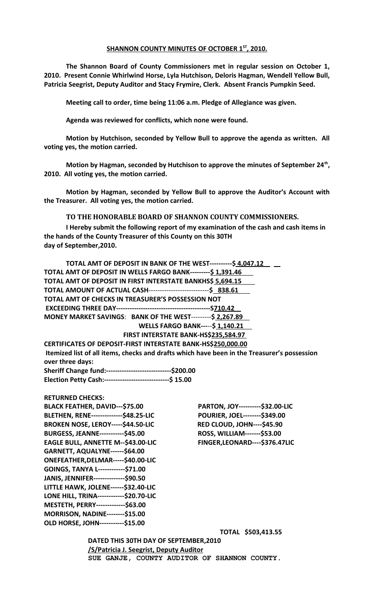## **SHANNON COUNTY MINUTES OF OCTOBER 1ST , 2010.**

**The Shannon Board of County Commissioners met in regular session on October 1, 2010. Present Connie Whirlwind Horse, Lyla Hutchison, Deloris Hagman, Wendell Yellow Bull, Patricia Seegrist, Deputy Auditor and Stacy Frymire, Clerk. Absent Francis Pumpkin Seed.**

**Meeting call to order, time being 11:06 a.m. Pledge of Allegiance was given.**

**Agenda was reviewed for conflicts, which none were found.**

**Motion by Hutchison, seconded by Yellow Bull to approve the agenda as written. All voting yes, the motion carried.**

**Motion by Hagman, seconded by Hutchison to approve the minutes of September 24th , 2010. All voting yes, the motion carried.**

**Motion by Hagman, seconded by Yellow Bull to approve the Auditor's Account with the Treasurer. All voting yes, the motion carried.**

## **TO THE HONORABLE BOARD OF SHANNON COUNTY COMMISSIONERS.**

**I Hereby submit the following report of my examination of the cash and cash items in the hands of the County Treasurer of this County on this 30TH day of September,2010.**

| TOTAL AMT OF DEPOSIT IN BANK OF THE WEST----------\$ 4,047.12       |                                                                                             |
|---------------------------------------------------------------------|---------------------------------------------------------------------------------------------|
| TOTAL AMT OF DEPOSIT IN WELLS FARGO BANK---------\$ 1,391.46        |                                                                                             |
| TOTAL AMT OF DEPOSIT IN FIRST INTERSTATE BANKHS\$ 5,694.15          |                                                                                             |
| TOTAL AMOUNT OF ACTUAL CASH-------------------------------\$ 838.61 |                                                                                             |
| TOTAL AMT OF CHECKS IN TREASURER'S POSSESSION NOT                   |                                                                                             |
|                                                                     |                                                                                             |
| MONEY MARKET SAVINGS: BANK OF THE WEST---------\$ 2,267.89          |                                                                                             |
|                                                                     | <b>WELLS FARGO BANK-----\$1,140.21</b>                                                      |
|                                                                     | FIRST INTERSTATE BANK-HS\$235,584.97                                                        |
| CERTIFICATES OF DEPOSIT-FIRST INTERSTATE BANK-HS\$250,000.00        |                                                                                             |
| over three days:                                                    | Itemized list of all items, checks and drafts which have been in the Treasurer's possession |
| Sheriff Change fund:------------------------------\$200.00          |                                                                                             |
| Election Petty Cash:-------------------------------\$ 15.00         |                                                                                             |
| <b>RETURNED CHECKS:</b>                                             |                                                                                             |
| <b>BLACK FEATHER, DAVID---\$75.00</b>                               | PARTON, JOY----------\$32.00-LIC                                                            |
| BLETHEN, RENE--------------\$48.25-LIC                              | POURIER, JOEL--------\$349.00                                                               |
| BROKEN NOSE, LEROY-----\$44.50-LIC                                  | <b>RED CLOUD, JOHN----\$45.90</b>                                                           |
| BURGESS, JEANNE-----------\$45.00                                   | ROSS, WILLIAM-------\$53.00                                                                 |
| EAGLE BULL, ANNETTE M--\$43.00-LIC                                  | FINGER, LEONARD---- \$376.47LIC                                                             |
| GARNETT, AQUALYNE------\$64.00                                      |                                                                                             |
| ONEFEATHER, DELMAR-----\$40.00-LIC                                  |                                                                                             |
| GOINGS, TANYA L------------\$71.00                                  |                                                                                             |
| JANIS, JENNIFER---------------\$90.50                               |                                                                                             |
| LITTLE HAWK, JOLENE------\$32.40-LIC                                |                                                                                             |
| LONE HILL, TRINA------------\$20.70-LIC                             |                                                                                             |
| MESTETH, PERRY--------------\$63.00                                 |                                                                                             |
| <b>MORRISON, NADINE--------\$15.00</b>                              |                                                                                             |
| OLD HORSE, JOHN-----------\$15.00                                   |                                                                                             |
|                                                                     | TOTAL \$503,413.55                                                                          |
| DATED THIS 30TH DAY OF SEPTEMBER, 2010                              |                                                                                             |
| /S/Patricia J. Seegrist, Deputy Auditor                             |                                                                                             |
|                                                                     | SUE GANJE, COUNTY AUDITOR OF SHANNON COUNTY.                                                |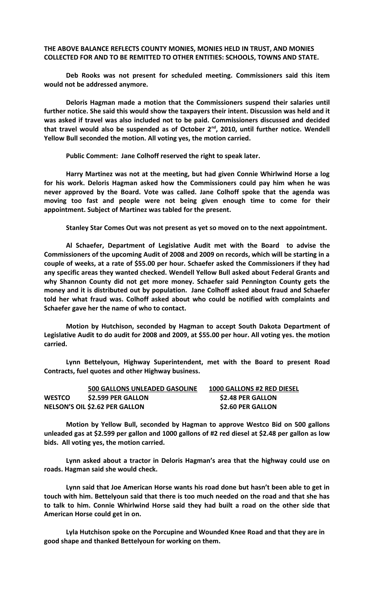## **THE ABOVE BALANCE REFLECTS COUNTY MONIES, MONIES HELD IN TRUST, AND MONIES COLLECTED FOR AND TO BE REMITTED TO OTHER ENTITIES: SCHOOLS, TOWNS AND STATE.**

**Deb Rooks was not present for scheduled meeting. Commissioners said this item would not be addressed anymore.**

**Deloris Hagman made a motion that the Commissioners suspend their salaries until further notice. She said this would show the taxpayers their intent. Discussion was held and it was asked if travel was also included not to be paid. Commissioners discussed and decided that travel would also be suspended as of October 2nd, 2010, until further notice. Wendell Yellow Bull seconded the motion. All voting yes, the motion carried.**

**Public Comment: Jane Colhoff reserved the right to speak later.**

**Harry Martinez was not at the meeting, but had given Connie Whirlwind Horse a log for his work. Deloris Hagman asked how the Commissioners could pay him when he was never approved by the Board. Vote was called. Jane Colhoff spoke that the agenda was moving too fast and people were not being given enough time to come for their appointment. Subject of Martinez was tabled for the present.**

**Stanley Star Comes Out was not present as yet so moved on to the next appointment.**

**Al Schaefer, Department of Legislative Audit met with the Board to advise the Commissioners of the upcoming Audit of 2008 and 2009 on records, which will be starting in a couple of weeks, at a rate of \$55.00 per hour. Schaefer asked the Commissioners if they had any specific areas they wanted checked. Wendell Yellow Bull asked about Federal Grants and why Shannon County did not get more money. Schaefer said Pennington County gets the money and it is distributed out by population. Jane Colhoff asked about fraud and Schaefer told her what fraud was. Colhoff asked about who could be notified with complaints and Schaefer gave her the name of who to contact.**

**Motion by Hutchison, seconded by Hagman to accept South Dakota Department of Legislative Audit to do audit for 2008 and 2009, at \$55.00 per hour. All voting yes. the motion carried.**

**Lynn Bettelyoun, Highway Superintendent, met with the Board to present Road Contracts, fuel quotes and other Highway business.**

|               | <b>500 GALLONS UNLEADED GASOLINE</b>  | <b>1000 GALLONS #2 RED DIESEL</b> |
|---------------|---------------------------------------|-----------------------------------|
| <b>WESTCO</b> | \$2.599 PER GALLON                    | \$2.48 PER GALLON                 |
|               | <b>NELSON'S OIL \$2.62 PER GALLON</b> | \$2.60 PER GALLON                 |

**Motion by Yellow Bull, seconded by Hagman to approve Westco Bid on 500 gallons unleaded gas at \$2.599 per gallon and 1000 gallons of #2 red diesel at \$2.48 per gallon as low bids. All voting yes, the motion carried.**

**Lynn asked about a tractor in Deloris Hagman's area that the highway could use on roads. Hagman said she would check.**

**Lynn said that Joe American Horse wants his road done but hasn't been able to get in touch with him. Bettelyoun said that there is too much needed on the road and that she has to talk to him. Connie Whirlwind Horse said they had built a road on the other side that American Horse could get in on.**

**Lyla Hutchison spoke on the Porcupine and Wounded Knee Road and that they are in good shape and thanked Bettelyoun for working on them.**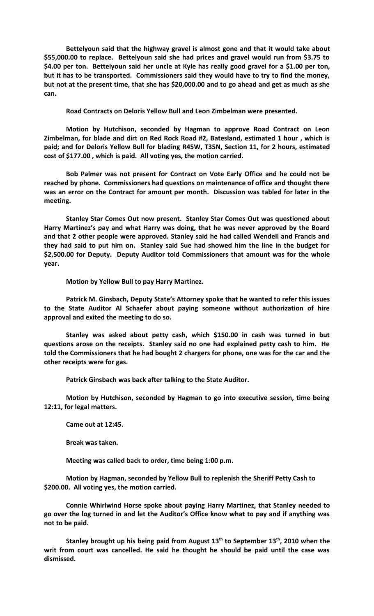**Bettelyoun said that the highway gravel is almost gone and that it would take about \$55,000.00 to replace. Bettelyoun said she had prices and gravel would run from \$3.75 to \$4.00 per ton. Bettelyoun said her uncle at Kyle has really good gravel for a \$1.00 per ton, but it has to be transported. Commissioners said they would have to try to find the money, but not at the present time, that she has \$20,000.00 and to go ahead and get as much as she can.**

**Road Contracts on Deloris Yellow Bull and Leon Zimbelman were presented.**

**Motion by Hutchison, seconded by Hagman to approve Road Contract on Leon Zimbelman, for blade and dirt on Red Rock Road #2, Batesland, estimated 1 hour , which is paid; and for Deloris Yellow Bull for blading R45W, T35N, Section 11, for 2 hours, estimated cost of \$177.00 , which is paid. All voting yes, the motion carried.**

**Bob Palmer was not present for Contract on Vote Early Office and he could not be reached by phone. Commissioners had questions on maintenance of office and thought there was an error on the Contract for amount per month. Discussion was tabled for later in the meeting.**

**Stanley Star Comes Out now present. Stanley Star Comes Out was questioned about Harry Martinez's pay and what Harry was doing, that he was never approved by the Board and that 2 other people were approved. Stanley said he had called Wendell and Francis and they had said to put him on. Stanley said Sue had showed him the line in the budget for \$2,500.00 for Deputy. Deputy Auditor told Commissioners that amount was for the whole year.**

**Motion by Yellow Bull to pay Harry Martinez.**

**Patrick M. Ginsbach, Deputy State's Attorney spoke that he wanted to refer this issues to the State Auditor Al Schaefer about paying someone without authorization of hire approval and exited the meeting to do so.**

**Stanley was asked about petty cash, which \$150.00 in cash was turned in but questions arose on the receipts. Stanley said no one had explained petty cash to him. He told the Commissioners that he had bought 2 chargers for phone, one was for the car and the other receipts were for gas.**

**Patrick Ginsbach was back after talking to the State Auditor.**

**Motion by Hutchison, seconded by Hagman to go into executive session, time being 12:11, for legal matters.**

**Came out at 12:45.**

**Break was taken.**

**Meeting was called back to order, time being 1:00 p.m.**

**Motion by Hagman, seconded by Yellow Bull to replenish the Sheriff Petty Cash to \$200.00. All voting yes, the motion carried.**

**Connie Whirlwind Horse spoke about paying Harry Martinez, that Stanley needed to go over the log turned in and let the Auditor's Office know what to pay and if anything was not to be paid.**

**Stanley brought up his being paid from August 13th to September 13th, 2010 when the writ from court was cancelled. He said he thought he should be paid until the case was dismissed.**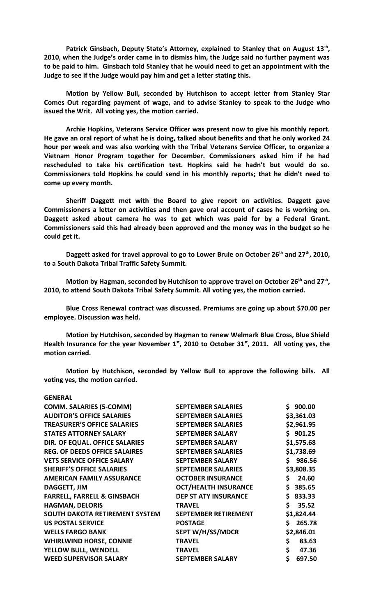Patrick Ginsbach, Deputy State's Attorney, explained to Stanley that on August 13<sup>th</sup>, **2010, when the Judge's order came in to dismiss him, the Judge said no further payment was to be paid to him. Ginsbach told Stanley that he would need to get an appointment with the Judge to see if the Judge would pay him and get a letter stating this.**

**Motion by Yellow Bull, seconded by Hutchison to accept letter from Stanley Star Comes Out regarding payment of wage, and to advise Stanley to speak to the Judge who issued the Writ. All voting yes, the motion carried.**

**Archie Hopkins, Veterans Service Officer was present now to give his monthly report. He gave an oral report of what he is doing, talked about benefits and that he only worked 24 hour per week and was also working with the Tribal Veterans Service Officer, to organize a Vietnam Honor Program together for December. Commissioners asked him if he had rescheduled to take his certification test. Hopkins said he hadn't but would do so. Commissioners told Hopkins he could send in his monthly reports; that he didn't need to come up every month.**

**Sheriff Daggett met with the Board to give report on activities. Daggett gave Commissioners a letter on activities and then gave oral account of cases he is working on. Daggett asked about camera he was to get which was paid for by a Federal Grant. Commissioners said this had already been approved and the money was in the budget so he could get it.** 

**Daggett asked for travel approval to go to Lower Brule on October 26th and 27th, 2010, to a South Dakota Tribal Traffic Safety Summit.**

**Motion by Hagman, seconded by Hutchison to approve travel on October 26th and 27th , 2010, to attend South Dakota Tribal Safety Summit. All voting yes, the motion carried.**

**Blue Cross Renewal contract was discussed. Premiums are going up about \$70.00 per employee. Discussion was held.**

**Motion by Hutchison, seconded by Hagman to renew Welmark Blue Cross, Blue Shield Health Insurance for the year November 1st, 2010 to October 31st, 2011. All voting yes, the motion carried.**

**Motion by Hutchison, seconded by Yellow Bull to approve the following bills. All voting yes, the motion carried.**

## **GENERAL**

| <b>COMM. SALARIES (5-COMM)</b>         | <b>SEPTEMBER SALARIES</b>   | 900.00<br>Ś. |
|----------------------------------------|-----------------------------|--------------|
| <b>AUDITOR'S OFFICE SALARIES</b>       | <b>SEPTEMBER SALARIES</b>   | \$3,361.03   |
| <b>TREASURER'S OFFICE SALARIES</b>     | <b>SEPTEMBER SALARIES</b>   | \$2,961.95   |
| <b>STATES ATTORNEY SALARY</b>          | <b>SEPTEMBER SALARY</b>     | \$901.25     |
| DIR. OF EQUAL. OFFICE SALARIES         | <b>SEPTEMBER SALARY</b>     | \$1,575.68   |
| <b>REG. OF DEEDS OFFICE SALAIRES</b>   | <b>SEPTEMBER SALARIES</b>   | \$1,738.69   |
| <b>VETS SERVICE OFFICE SALARY</b>      | <b>SEPTEMBER SALARY</b>     | \$986.56     |
| <b>SHERIFF'S OFFICE SALARIES</b>       | <b>SEPTEMBER SALARIES</b>   | \$3,808.35   |
| <b>AMERICAN FAMILY ASSURANCE</b>       | <b>OCTOBER INSURANCE</b>    | \$.<br>24.60 |
| <b>DAGGETT, JIM</b>                    | <b>OCT/HEALTH INSURANCE</b> | \$<br>385.65 |
| <b>FARRELL, FARRELL &amp; GINSBACH</b> | <b>DEP ST ATY INSURANCE</b> | Ś.<br>833.33 |
| <b>HAGMAN, DELORIS</b>                 | <b>TRAVEL</b>               | \$<br>35.52  |
| <b>SOUTH DAKOTA RETIREMENT SYSTEM</b>  | <b>SEPTEMBER RETIREMENT</b> | \$1,824.44   |
| <b>US POSTAL SERVICE</b>               | <b>POSTAGE</b>              | Ś.<br>265.78 |
| <b>WELLS FARGO BANK</b>                | SEPT W/H/SS/MDCR            | \$2,846.01   |
| <b>WHIRLWIND HORSE, CONNIE</b>         | <b>TRAVEL</b>               | \$<br>83.63  |
| YELLOW BULL, WENDELL                   | <b>TRAVEL</b>               | \$<br>47.36  |
| <b>WEED SUPERVISOR SALARY</b>          | <b>SEPTEMBER SALARY</b>     | \$<br>697.50 |
|                                        |                             |              |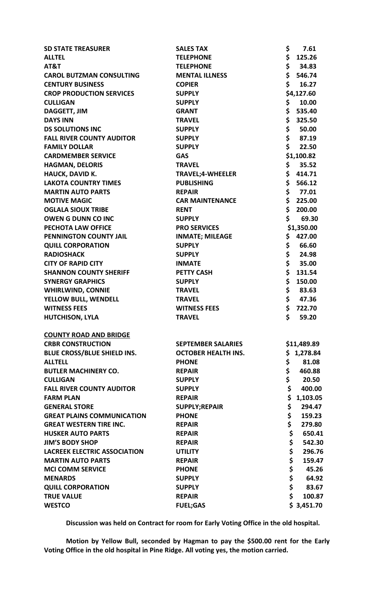| <b>SD STATE TREASURER</b>           | <b>SALES TAX</b>           | \$<br>7.61     |
|-------------------------------------|----------------------------|----------------|
| <b>ALLTEL</b>                       | <b>TELEPHONE</b>           | \$<br>125.26   |
| AT&T                                | <b>TELEPHONE</b>           | \$<br>34.83    |
| <b>CAROL BUTZMAN CONSULTING</b>     | <b>MENTAL ILLNESS</b>      | \$<br>546.74   |
| <b>CENTURY BUSINESS</b>             | <b>COPIER</b>              | \$<br>16.27    |
| <b>CROP PRODUCTION SERVICES</b>     | <b>SUPPLY</b>              | \$4,127.60     |
| <b>CULLIGAN</b>                     | <b>SUPPLY</b>              | \$<br>10.00    |
| <b>DAGGETT, JIM</b>                 | <b>GRANT</b>               | \$<br>535.40   |
| <b>DAYS INN</b>                     | <b>TRAVEL</b>              | \$<br>325.50   |
| <b>DS SOLUTIONS INC</b>             | <b>SUPPLY</b>              | \$<br>50.00    |
| <b>FALL RIVER COUNTY AUDITOR</b>    | <b>SUPPLY</b>              | \$<br>87.19    |
| <b>FAMILY DOLLAR</b>                | <b>SUPPLY</b>              | \$<br>22.50    |
| <b>CARDMEMBER SERVICE</b>           | <b>GAS</b>                 | \$1,100.82     |
| <b>HAGMAN, DELORIS</b>              | <b>TRAVEL</b>              | \$<br>35.52    |
| <b>HAUCK, DAVID K.</b>              | <b>TRAVEL;4-WHEELER</b>    | \$<br>414.71   |
| <b>LAKOTA COUNTRY TIMES</b>         | <b>PUBLISHING</b>          | \$<br>566.12   |
| <b>MARTIN AUTO PARTS</b>            | <b>REPAIR</b>              | \$<br>77.01    |
| <b>MOTIVE MAGIC</b>                 | <b>CAR MAINTENANCE</b>     | \$<br>225.00   |
| <b>OGLALA SIOUX TRIBE</b>           | <b>RENT</b>                | \$<br>200.00   |
| <b>OWEN G DUNN CO INC</b>           | <b>SUPPLY</b>              | \$<br>69.30    |
| PECHOTA LAW OFFICE                  | <b>PRO SERVICES</b>        | \$1,350.00     |
| PENNINGTON COUNTY JAIL              | <b>INMATE; MILEAGE</b>     | \$<br>427.00   |
| <b>QUILL CORPORATION</b>            | <b>SUPPLY</b>              | \$<br>66.60    |
| <b>RADIOSHACK</b>                   | <b>SUPPLY</b>              | \$<br>24.98    |
| <b>CITY OF RAPID CITY</b>           | <b>INMATE</b>              | \$<br>35.00    |
| <b>SHANNON COUNTY SHERIFF</b>       | <b>PETTY CASH</b>          | \$<br>131.54   |
| <b>SYNERGY GRAPHICS</b>             | <b>SUPPLY</b>              | \$<br>150.00   |
| <b>WHIRLWIND, CONNIE</b>            | <b>TRAVEL</b>              | \$<br>83.63    |
| YELLOW BULL, WENDELL                | <b>TRAVEL</b>              | \$<br>47.36    |
| <b>WITNESS FEES</b>                 | <b>WITNESS FEES</b>        | \$<br>722.70   |
| <b>HUTCHISON, LYLA</b>              | <b>TRAVEL</b>              | \$<br>59.20    |
| <b>COUNTY ROAD AND BRIDGE</b>       |                            |                |
| <b>CRBR CONSTRUCTION</b>            | <b>SEPTEMBER SALARIES</b>  | \$11,489.89    |
| BLUE CROSS/BLUE SHIELD INS.         | <b>OCTOBER HEALTH INS.</b> | \$1,278.84     |
| <b>ALLTELL</b>                      | <b>PHONE</b>               | \$<br>81.08    |
| <b>BUTLER MACHINERY CO.</b>         | <b>REPAIR</b>              | \$<br>460.88   |
| <b>CULLIGAN</b>                     | <b>SUPPLY</b>              | \$<br>20.50    |
| <b>FALL RIVER COUNTY AUDITOR</b>    | <b>SUPPLY</b>              | \$<br>400.00   |
| <b>FARM PLAN</b>                    | <b>REPAIR</b>              | \$<br>1,103.05 |
| <b>GENERAL STORE</b>                | SUPPLY;REPAIR              | \$<br>294.47   |
| <b>GREAT PLAINS COMMUNICATION</b>   | <b>PHONE</b>               | \$<br>159.23   |
| <b>GREAT WESTERN TIRE INC.</b>      | <b>REPAIR</b>              | \$<br>279.80   |
| <b>HUSKER AUTO PARTS</b>            | <b>REPAIR</b>              | \$<br>650.41   |
| <b>JIM'S BODY SHOP</b>              | <b>REPAIR</b>              | \$<br>542.30   |
| <b>LACREEK ELECTRIC ASSOCIATION</b> | <b>UTILITY</b>             | \$<br>296.76   |
| <b>MARTIN AUTO PARTS</b>            | <b>REPAIR</b>              | \$<br>159.47   |
| <b>MCI COMM SERVICE</b>             | <b>PHONE</b>               | \$<br>45.26    |
| <b>MENARDS</b>                      | <b>SUPPLY</b>              | \$<br>64.92    |
| <b>QUILL CORPORATION</b>            | <b>SUPPLY</b>              | \$<br>83.67    |
| <b>TRUE VALUE</b>                   | <b>REPAIR</b>              | \$<br>100.87   |
| <b>WESTCO</b>                       | <b>FUEL;GAS</b>            | \$3,451.70     |
|                                     |                            |                |

**Discussion was held on Contract for room for Early Voting Office in the old hospital.** 

**Motion by Yellow Bull, seconded by Hagman to pay the \$500.00 rent for the Early Voting Office in the old hospital in Pine Ridge. All voting yes, the motion carried.**